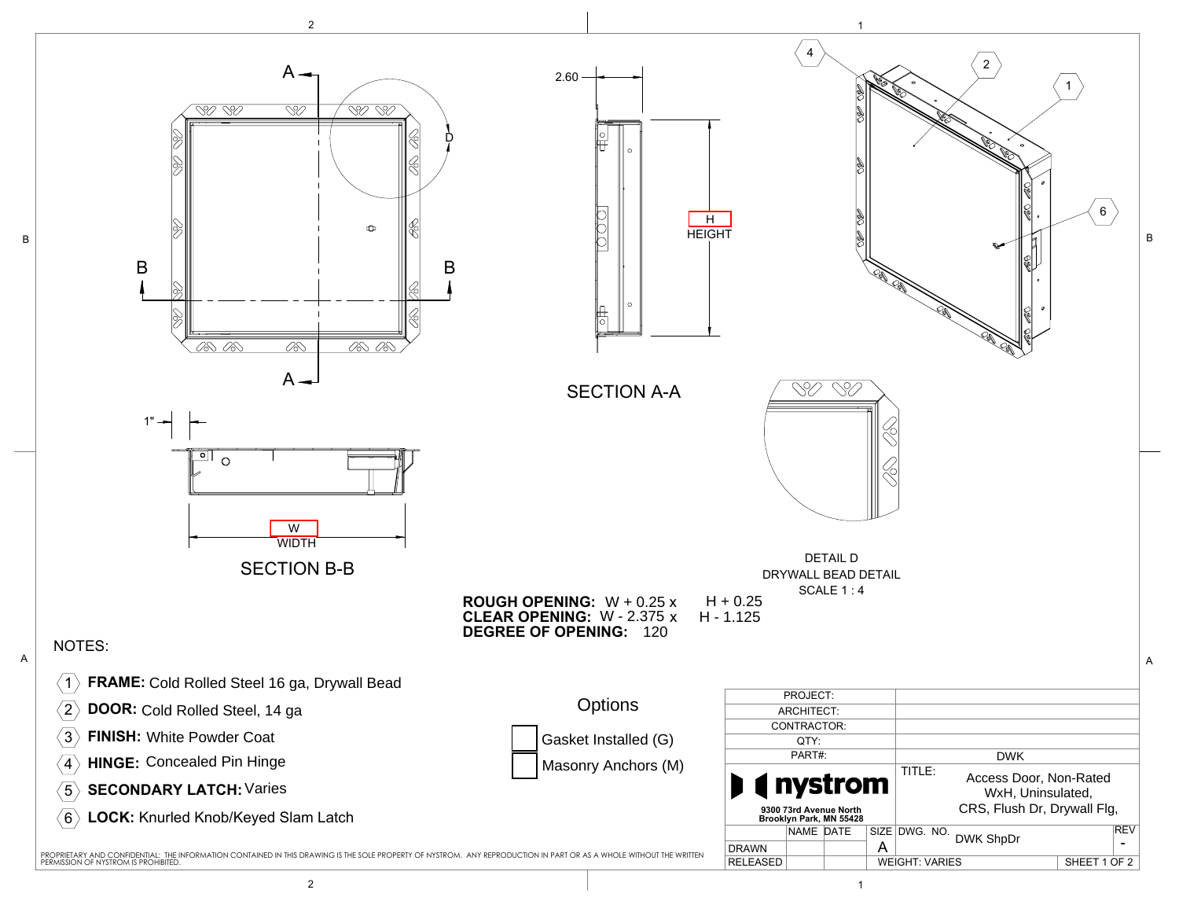

B

2 and  $\overline{1}$  1